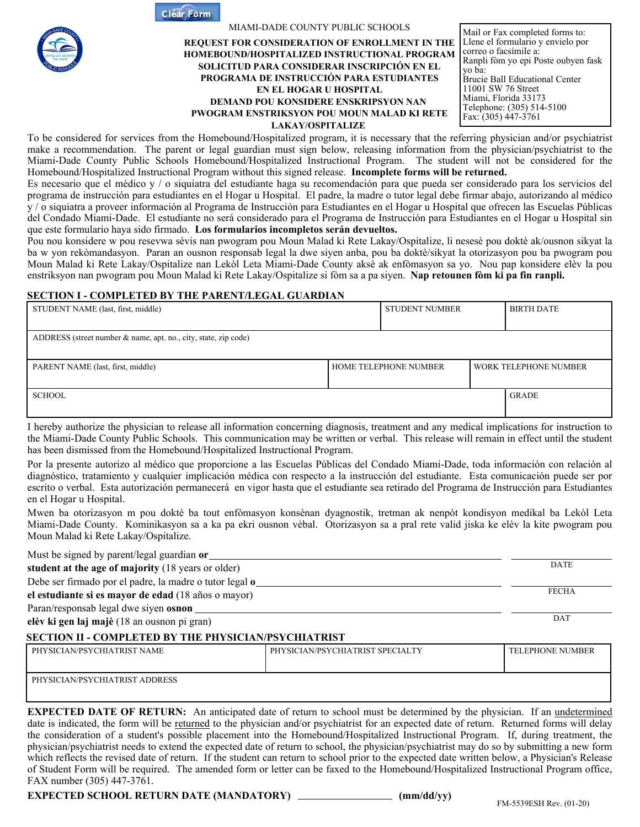**Clear Form**



#### MIAMI-DADE COUNTY PUBLIC SCHOOLS

#### **REQUEST FOR CONSIDERATION OF ENROLLMENT IN THE HOMEBOUND/HOSPITALIZED INSTRUCTIONAL PROGRAM SOLICITUD PARA CONSIDERAR INSCRIPCIÓN EN EL PROGRAMA DE INSTRUCCIÓN PARA ESTUDIANTES EN EL HOGAR U HOSPITAL DEMAND POU KONSIDERE ENSKRIPSYON NAN PWOGRAM ENSTRIKSYON POU MOUN MALAD KI RETE LAKAY/OSPITALIZE**

Mail or Fax completed forms to: Llene el formulario y envielo por correo o facsímile a: Ranpli fòm yo epi Poste oubyen fask yo ba: Brucie Ball Educational Center 11001 SW 76 Street Miami, Florida 33173 Telephone: (305) 514-5100 Fax:  $(305)$  447-3761

To be considered for services from the Homebound/Hospitalized program, it is necessary that the referring physician and/or psychiatrist make a recommendation. The parent or legal guardian must sign below, releasing information from the physician/psychiatrist to the Miami-Dade County Public Schools Homebound/Hospitalized Instructional Program. The student will not be considered for the Homebound/Hospitalized Instructional Program without this signed release. **Incomplete forms will be returned.** 

Es necesario que el médico y / o siquiatra del estudiante haga su recomendación para que pueda ser considerado para los servicios del programa de instrucción para estudiantes en el Hogar u Hospital. El padre, la madre o tutor legal debe firmar abajo, autorizando al médico y / o siquiatra a proveer información al Programa de Instrucción para Estudiantes en el Hogar u Hospital que ofrecen las Escuelas Públicas del Condado Miami-Dade. El estudiante no será considerado para el Programa de Instrucción para Estudiantes en el Hogar u Hospital sin que este formulario haya sido firmado. **Los formularios incompletos serán devueltos.**

Pou nou konsidere w pou resevwa sèvis nan pwogram pou Moun Malad ki Rete Lakay/Ospitalize, li nesesè pou doktè ak/ousnon sikyat la ba w yon rekòmandasyon. Paran an ousnon responsab legal la dwe siyen anba, pou ba doktè/sikyat la otorizasyon pou ba pwogram pou Moun Malad ki Rete Lakay/Ospitalize nan Lekòl Leta Miami-Dade County aksè ak enfòmasyon sa yo. Nou pap konsidere elèv la pou enstriksyon nan pwogram pou Moun Malad ki Rete Lakay/Ospitalize si fòm sa a pa siyen. **Nap retounen fòm ki pa fin ranpli.** 

## **SECTION I - COMPLETED BY THE PARENT/LEGAL GUARDIAN**

| STUDENT NAME (last, first, middle)                              |                       | STUDENT NUMBER |                       | <b>BIRTH DATE</b> |
|-----------------------------------------------------------------|-----------------------|----------------|-----------------------|-------------------|
|                                                                 |                       |                |                       |                   |
| ADDRESS (street number & name, apt. no., city, state, zip code) |                       |                |                       |                   |
|                                                                 |                       |                |                       |                   |
| PARENT NAME (last, first, middle)                               | HOME TELEPHONE NUMBER |                | WORK TELEPHONE NUMBER |                   |
|                                                                 |                       |                |                       |                   |
| <b>SCHOOL</b>                                                   |                       |                |                       | <b>GRADE</b>      |
|                                                                 |                       |                |                       |                   |

I hereby authorize the physician to release all information concerning diagnosis, treatment and any medical implications for instruction to the Miami-Dade County Public Schools. This communication may be written or verbal. This release will remain in effect until the student has been dismissed from the Homebound/Hospitalized Instructional Program.

Por la presente autorizo al médico que proporcione a las Escuelas Públicas del Condado Miami-Dade, toda información con relación al diagnóstico, tratamiento y cualquier implicación médica con respecto a la instrucción del estudiante. Esta comunicación puede ser por escrito o verbal. Esta autorización permanecerá en vigor hasta que el estudiante sea retirado del Programa de Instrucción para Estudiantes en el Hogar u Hospital.

Mwen ba otorizasyon m pou doktè ba tout enfòmasyon konsènan dyagnostik, tretman ak nenpòt kondisyon medikal ba Lekòl Leta Miami-Dade County. Kominikasyon sa a ka pa ekri ousnon vèbal. Otorizasyon sa a pral rete valid jiska ke elèv la kite pwogram pou Moun Malad ki Rete Lakay/Ospitalize.

| Must be signed by parent/legal guardian or                  |                                  |                         |  |
|-------------------------------------------------------------|----------------------------------|-------------------------|--|
| student at the age of majority (18 years or older)          | <b>DATE</b>                      |                         |  |
| Debe ser firmado por el padre, la madre o tutor legal o_    |                                  |                         |  |
| el estudiante si es mayor de edad (18 años o mayor)         | <b>FECHA</b>                     |                         |  |
| Paran/responsab legal dwe siyen osnon                       |                                  |                         |  |
| elèv ki gen laj majè (18 an ousnon pi gran)                 | DAT                              |                         |  |
| <b>SECTION II - COMPLETED BY THE PHYSICIAN/PSYCHIATRIST</b> |                                  |                         |  |
| PHYSICIAN/PSYCHIATRIST NAME                                 | PHYSICIAN/PSYCHIATRIST SPECIALTY | <b>TELEPHONE NUMBER</b> |  |
|                                                             |                                  |                         |  |
| PHYSICIAN/PSYCHIATRIST ADDRESS                              |                                  |                         |  |
|                                                             |                                  |                         |  |

**EXPECTED DATE OF RETURN:** An anticipated date of return to school must be determined by the physician. If an undetermined date is indicated, the form will be returned to the physician and/or psychiatrist for an expected date of return. Returned forms will delay the consideration of a student's possible placement into the Homebound/Hospitalized Instructional Program. If, during treatment, the physician/psychiatrist needs to extend the expected date of return to school, the physician/psychiatrist may do so by submitting a new form which reflects the revised date of return. If the student can return to school prior to the expected date written below, a Physician's Release of Student Form will be required. The amended form or letter can be faxed to the Homebound/Hospitalized Instructional Program office, FAX number (305) 447-3761.

# **EXPECTED SCHOOL RETURN DATE (MANDATORY)** (mm/dd/yy) FM-5539ESH Rev. (01-20)